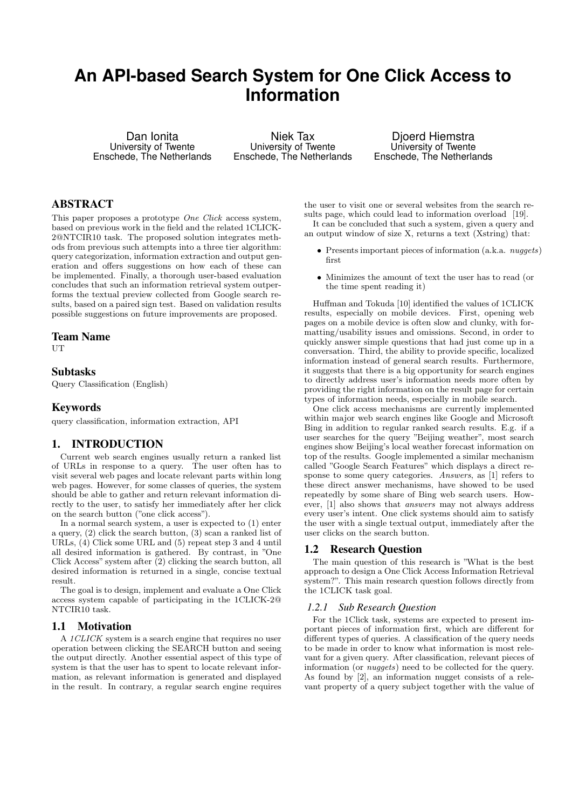# **An API-based Search System for One Click Access to Information**

Dan Ionita University of Twente Enschede, The Netherlands

Niek Tax University of Twente Enschede, The Netherlands

Djoerd Hiemstra University of Twente Enschede, The Netherlands

# ABSTRACT

This paper proposes a prototype *One Click* access system, based on previous work in the field and the related 1CLICK-2@NTCIR10 task. The proposed solution integrates methods from previous such attempts into a three tier algorithm: query categorization, information extraction and output generation and offers suggestions on how each of these can be implemented. Finally, a thorough user-based evaluation concludes that such an information retrieval system outperforms the textual preview collected from Google search results, based on a paired sign test. Based on validation results possible suggestions on future improvements are proposed.

#### Team Name

UT

# Subtasks

Query Classification (English)

# Keywords

query classification, information extraction, API

### 1. INTRODUCTION

Current web search engines usually return a ranked list of URLs in response to a query. The user often has to visit several web pages and locate relevant parts within long web pages. However, for some classes of queries, the system should be able to gather and return relevant information directly to the user, to satisfy her immediately after her click on the search button ("one click access").

In a normal search system, a user is expected to (1) enter a query, (2) click the search button, (3) scan a ranked list of URLs, (4) Click some URL and (5) repeat step 3 and 4 until all desired information is gathered. By contrast, in "One Click Access" system after (2) clicking the search button, all desired information is returned in a single, concise textual result.

The goal is to design, implement and evaluate a One Click access system capable of participating in the 1CLICK-2@ NTCIR10 task.

# 1.1 Motivation

A 1CLICK system is a search engine that requires no user operation between clicking the SEARCH button and seeing the output directly. Another essential aspect of this type of system is that the user has to spent to locate relevant information, as relevant information is generated and displayed in the result. In contrary, a regular search engine requires

the user to visit one or several websites from the search results page, which could lead to information overload [19]. It can be concluded that such a system, given a query and

an output window of size X, returns a text (Xstring) that:

- Presents important pieces of information (a.k.a. *nuggets*) first
- Minimizes the amount of text the user has to read (or the time spent reading it)

Huffman and Tokuda [10] identified the values of 1CLICK results, especially on mobile devices. First, opening web pages on a mobile device is often slow and clunky, with formatting/usability issues and omissions. Second, in order to quickly answer simple questions that had just come up in a conversation. Third, the ability to provide specific, localized information instead of general search results. Furthermore, it suggests that there is a big opportunity for search engines to directly address user's information needs more often by providing the right information on the result page for certain types of information needs, especially in mobile search.

One click access mechanisms are currently implemented within major web search engines like Google and Microsoft Bing in addition to regular ranked search results. E.g. if a user searches for the query "Beijing weather", most search engines show Beijing's local weather forecast information on top of the results. Google implemented a similar mechanism called "Google Search Features" which displays a direct response to some query categories. Answers, as [1] refers to these direct answer mechanisms, have showed to be used repeatedly by some share of Bing web search users. However, [1] also shows that answers may not always address every user's intent. One click systems should aim to satisfy the user with a single textual output, immediately after the user clicks on the search button.

#### 1.2 Research Question

The main question of this research is "What is the best approach to design a One Click Access Information Retrieval system?". This main research question follows directly from the 1CLICK task goal.

#### *1.2.1 Sub Research Question*

For the 1Click task, systems are expected to present important pieces of information first, which are different for different types of queries. A classification of the query needs to be made in order to know what information is most relevant for a given query. After classification, relevant pieces of information (or nuggets) need to be collected for the query. As found by [2], an information nugget consists of a relevant property of a query subject together with the value of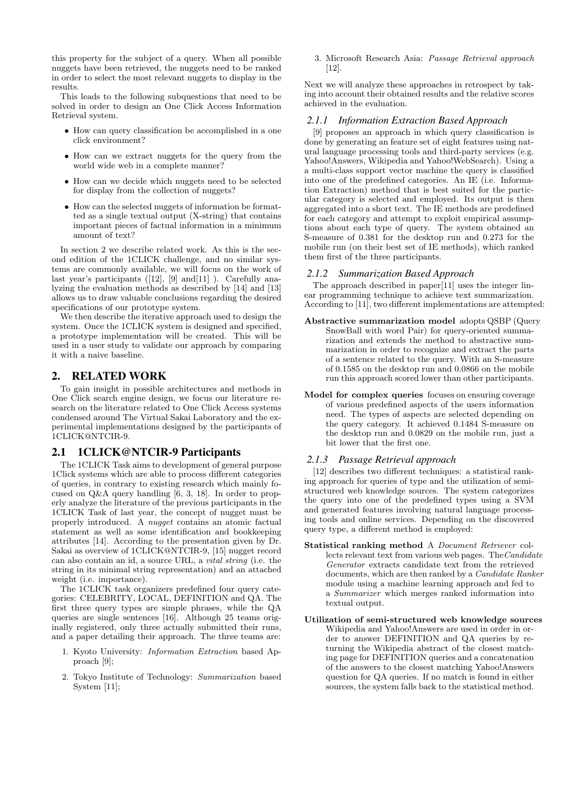this property for the subject of a query. When all possible nuggets have been retrieved, the nuggets need to be ranked in order to select the most relevant nuggets to display in the results.

This leads to the following subquestions that need to be solved in order to design an One Click Access Information Retrieval system.

- How can query classification be accomplished in a one click environment?
- How can we extract nuggets for the query from the world wide web in a complete manner?
- How can we decide which nuggets need to be selected for display from the collection of nuggets?
- How can the selected nuggets of information be formatted as a single textual output (X-string) that contains important pieces of factual information in a minimum amount of text?

In section 2 we describe related work. As this is the second edition of the 1CLICK challenge, and no similar systems are commonly available, we will focus on the work of last year's participants  $([12], [9] \text{ and } [11]$ ). Carefully analyzing the evaluation methods as described by [14] and [13] allows us to draw valuable conclusions regarding the desired specifications of our prototype system.

We then describe the iterative approach used to design the system. Once the 1CLICK system is designed and specified, a prototype implementation will be created. This will be used in a user study to validate our approach by comparing it with a naive baseline.

# 2. RELATED WORK

To gain insight in possible architectures and methods in One Click search engine design, we focus our literature research on the literature related to One Click Access systems condensed around The Virtual Sakai Laboratory and the experimental implementations designed by the participants of 1CLICK@NTCIR-9.

# 2.1 1CLICK@NTCIR-9 Participants

The 1CLICK Task aims to development of general purpose 1Click systems which are able to process different categories of queries, in contrary to existing research which mainly focused on Q&A query handling [6, 3, 18]. In order to properly analyze the literature of the previous participants in the 1CLICK Task of last year, the concept of nugget must be properly introduced. A nugget contains an atomic factual statement as well as some identification and bookkeeping attributes [14]. According to the presentation given by Dr. Sakai as overview of 1CLICK@NTCIR-9, [15] nugget record can also contain an id, a source URL, a vital string (i.e. the string in its minimal string representation) and an attached weight (i.e. importance).

The 1CLICK task organizers predefined four query categories: CELEBRITY, LOCAL, DEFINITION and QA. The first three query types are simple phrases, while the QA queries are single sentences [16]. Although 25 teams originally registered, only three actually submitted their runs, and a paper detailing their approach. The three teams are:

- 1. Kyoto University: Information Extraction based Approach [9];
- 2. Tokyo Institute of Technology: Summarization based System [11];

3. Microsoft Research Asia: Passage Retrieval approach [12].

Next we will analyze these approaches in retrospect by taking into account their obtained results and the relative scores achieved in the evaluation.

# *2.1.1 Information Extraction Based Approach*

[9] proposes an approach in which query classification is done by generating an feature set of eight features using natural language processing tools and third-party services (e.g. Yahoo!Answers, Wikipedia and Yahoo!WebSearch). Using a a multi-class support vector machine the query is classified into one of the predefined categories. An IE (i.e. Information Extraction) method that is best suited for the particular category is selected and employed. Its output is then aggregated into a short text. The IE methods are predefined for each category and attempt to exploit empirical assumptions about each type of query. The system obtained an S-measure of 0.381 for the desktop run and 0.273 for the mobile run (on their best set of IE methods), which ranked them first of the three participants.

# *2.1.2 Summarization Based Approach*

The approach described in paper[11] uses the integer linear programming technique to achieve text summarization. According to [11], two different implementations are attempted:

- Abstractive summarization model adopts QSBP (Query SnowBall with word Pair) for query-oriented summarization and extends the method to abstractive summarization in order to recognize and extract the parts of a sentence related to the query. With an S-measure of 0.1585 on the desktop run and 0.0866 on the mobile run this approach scored lower than other participants.
- Model for complex queries focuses on ensuring coverage of various predefined aspects of the users information need. The types of aspects are selected depending on the query category. It achieved 0.1484 S-measure on the desktop run and 0.0829 on the mobile run, just a bit lower that the first one.

# *2.1.3 Passage Retrieval approach*

[12] describes two different techniques: a statistical ranking approach for queries of type and the utilization of semistructured web knowledge sources. The system categorizes the query into one of the predefined types using a SVM and generated features involving natural language processing tools and online services. Depending on the discovered query type, a different method is employed:

- Statistical ranking method A Document Retriever collects relevant text from various web pages. The Candidate Generator extracts candidate text from the retrieved documents, which are then ranked by a Candidate Ranker module using a machine learning approach and fed to a Summarizer which merges ranked information into textual output.
- Utilization of semi-structured web knowledge sources Wikipedia and Yahoo!Answers are used in order in order to answer DEFINITION and QA queries by returning the Wikipedia abstract of the closest matching page for DEFINITION queries and a concatenation of the answers to the closest matching Yahoo!Answers question for QA queries. If no match is found in either sources, the system falls back to the statistical method.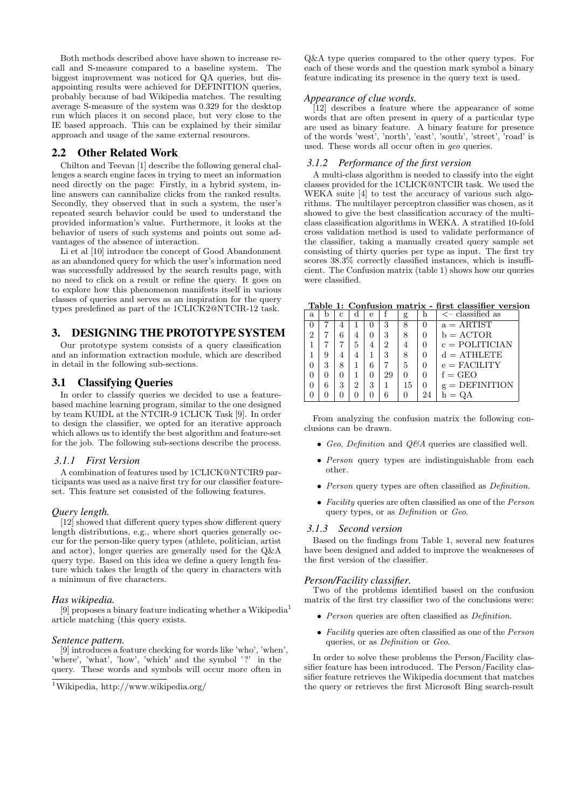Both methods described above have shown to increase recall and S-measure compared to a baseline system. The biggest improvement was noticed for QA queries, but disappointing results were achieved for DEFINITION queries, probably because of bad Wikipedia matches. The resulting average S-measure of the system was 0.329 for the desktop run which places it on second place, but very close to the IE based approach. This can be explained by their similar approach and usage of the same external resources.

# 2.2 Other Related Work

Chilton and Teevan [1] describe the following general challenges a search engine faces in trying to meet an information need directly on the page: Firstly, in a hybrid system, inline answers can cannibalize clicks from the ranked results. Secondly, they observed that in such a system, the user's repeated search behavior could be used to understand the provided information's value. Furthermore, it looks at the behavior of users of such systems and points out some advantages of the absence of interaction.

Li et al [10] introduce the concept of Good Abandonment as an abandoned query for which the user's information need was successfully addressed by the search results page, with no need to click on a result or refine the query. It goes on to explore how this phenomenon manifests itself in various classes of queries and serves as an inspiration for the query types predefined as part of the 1CLICK2@NTCIR-12 task.

# 3. DESIGNING THE PROTOTYPE SYSTEM

Our prototype system consists of a query classification and an information extraction module, which are described in detail in the following sub-sections.

# 3.1 Classifying Queries

In order to classify queries we decided to use a featurebased machine learning program, similar to the one designed by team KUIDL at the NTCIR-9 1CLICK Task [9]. In order to design the classifier, we opted for an iterative approach which allows us to identify the best algorithm and feature-set for the job. The following sub-sections describe the process.

#### *3.1.1 First Version*

A combination of features used by 1CLICK@NTCIR9 participants was used as a naive first try for our classifier featureset. This feature set consisted of the following features.

#### *Query length.*

[12] showed that different query types show different query length distributions, e.g., where short queries generally occur for the person-like query types (athlete, politician, artist and actor), longer queries are generally used for the Q&A query type. Based on this idea we define a query length feature which takes the length of the query in characters with a minimum of five characters.

#### *Has wikipedia.*

[9] proposes a binary feature indicating whether a Wikipedia<sup>1</sup> article matching (this query exists.

#### *Sentence pattern.*

[9] introduces a feature checking for words like 'who', 'when', 'where', 'what', 'how', 'which' and the symbol '?' in the query. These words and symbols will occur more often in

Q&A type queries compared to the other query types. For each of these words and the question mark symbol a binary feature indicating its presence in the query text is used.

#### *Appearance of clue words.*

[12] describes a feature where the appearance of some words that are often present in query of a particular type are used as binary feature. A binary feature for presence of the words 'west', 'north', 'east', 'south', 'street', 'road' is used. These words all occur often in geo queries.

#### *3.1.2 Performance of the first version*

A multi-class algorithm is needed to classify into the eight classes provided for the 1CLICK@NTCIR task. We used the WEKA suite [4] to test the accuracy of various such algorithms. The multilayer perceptron classifier was chosen, as it showed to give the best classification accuracy of the multiclass classification algorithms in WEKA. A stratified 10-fold cross validation method is used to validate performance of the classifier, taking a manually created query sample set consisting of thirty queries per type as input. The first try scores 38.3% correctly classified instances, which is insufficient. The Confusion matrix (table 1) shows how our queries were classified.

Table 1: Confusion matrix - first classifier version

| a. |   |   | d | е |    | g  | h        | $\lt$ - classified as   |
|----|---|---|---|---|----|----|----------|-------------------------|
|    |   |   |   |   | 3  | 8  |          | $a = ARTIST$            |
|    |   |   | 4 |   | 3  |    |          | $b = ACTOR$             |
|    |   |   | 5 |   | 2  |    | 0        | $c = \text{POLITICIAN}$ |
|    | q |   |   |   | 3  |    |          | $d = ATHLETE$           |
|    | 3 |   |   |   |    | 5  |          | $e =$ FACILITY          |
|    |   |   |   |   | 29 |    |          | $f = GEO$               |
|    | 6 | 3 | 2 | 3 |    | 15 | $\theta$ | $g =$ DEFINITION        |
|    |   |   |   |   |    |    | 24       | $h =$                   |

From analyzing the confusion matrix the following conclusions can be drawn.

- Geo, Definition and  $Q\&A$  queries are classified well.
- Person query types are indistinguishable from each other.
- Person query types are often classified as *Definition*.
- Facility queries are often classified as one of the  $Person$ query types, or as Definition or Geo.

#### *3.1.3 Second version*

Based on the findings from Table 1, several new features have been designed and added to improve the weaknesses of the first version of the classifier.

#### *Person/Facility classifier.*

Two of the problems identified based on the confusion matrix of the first try classifier two of the conclusions were:

- Person queries are often classified as Definition.
- Facility queries are often classified as one of the Person queries, or as Definition or Geo.

In order to solve these problems the Person/Facility classifier feature has been introduced. The Person/Facility classifier feature retrieves the Wikipedia document that matches the query or retrieves the first Microsoft Bing search-result

 $1$ Wikipedia, http://www.wikipedia.org/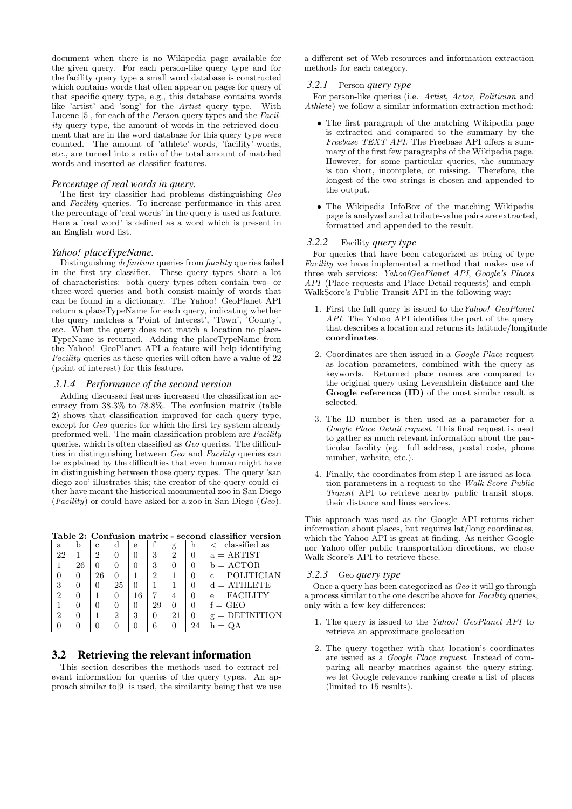document when there is no Wikipedia page available for the given query. For each person-like query type and for the facility query type a small word database is constructed which contains words that often appear on pages for query of that specific query type, e.g., this database contains words like 'artist' and 'song' for the Artist query type. With Lucene [5], for each of the Person query types and the Facility query type, the amount of words in the retrieved document that are in the word database for this query type were counted. The amount of 'athlete'-words, 'facility'-words, etc., are turned into a ratio of the total amount of matched words and inserted as classifier features.

#### *Percentage of real words in query.*

The first try classifier had problems distinguishing Geo and Facility queries. To increase performance in this area the percentage of 'real words' in the query is used as feature. Here a 'real word' is defined as a word which is present in an English word list.

#### *Yahoo! placeTypeName.*

Distinguishing definition queries from facility queries failed in the first try classifier. These query types share a lot of characteristics: both query types often contain two- or three-word queries and both consist mainly of words that can be found in a dictionary. The Yahoo! GeoPlanet API return a placeTypeName for each query, indicating whether the query matches a 'Point of Interest', 'Town', 'County', etc. When the query does not match a location no place-TypeName is returned. Adding the placeTypeName from the Yahoo! GeoPlanet API a feature will help identifying Facility queries as these queries will often have a value of 22 (point of interest) for this feature.

#### *3.1.4 Performance of the second version*

Adding discussed features increased the classification accuracy from 38.3% to 78.8%. The confusion matrix (table 2) shows that classification improved for each query type, except for Geo queries for which the first try system already preformed well. The main classification problem are Facility queries, which is often classified as Geo queries. The difficulties in distinguishing between Geo and Facility queries can be explained by the difficulties that even human might have in distinguishing between those query types. The query 'san diego zoo' illustrates this; the creator of the query could either have meant the historical monumental zoo in San Diego  $(Facility)$  or could have asked for a zoo in San Diego  $(Geo)$ .

Table 2: Confusion matrix - second classifier version

| a  |    | с  | ₫  | е  |    | g  |    | $\lt$ - classified as   |
|----|----|----|----|----|----|----|----|-------------------------|
| 22 |    | 2  |    |    | 3  | 2  | 0  | $a = ARTIST$            |
|    | 26 |    |    |    | 3  |    |    | $b = ACTOR$             |
|    |    | 26 |    |    | 2  |    |    | $c = \text{POLITICIAN}$ |
| 3  |    |    | 25 |    |    |    |    | $d = \text{ATHLETE}$    |
| 2  |    |    |    | 16 |    | 4  |    | $e =$ FACILITY          |
|    |    |    |    |    | 29 |    | 0  | $f = GEO$               |
| 2  |    |    | 2  | 3  |    | 21 | 0  | $g =$ DEFINITION        |
|    |    |    |    |    |    |    | 24 |                         |

### 3.2 Retrieving the relevant information

This section describes the methods used to extract relevant information for queries of the query types. An approach similar to[9] is used, the similarity being that we use

a different set of Web resources and information extraction methods for each category.

# *3.2.1* Person *query type*

For person-like queries (i.e. Artist, Actor, Politician and Athlete) we follow a similar information extraction method:

- The first paragraph of the matching Wikipedia page is extracted and compared to the summary by the Freebase TEXT API. The Freebase API offers a summary of the first few paragraphs of the Wikipedia page. However, for some particular queries, the summary is too short, incomplete, or missing. Therefore, the longest of the two strings is chosen and appended to the output.
- The Wikipedia InfoBox of the matching Wikipedia page is analyzed and attribute-value pairs are extracted, formatted and appended to the result.

#### *3.2.2* Facility *query type*

For queries that have been categorized as being of type Facility we have implemented a method that makes use of three web services: Yahoo!GeoPlanet API, Google's Places API (Place requests and Place Detail requests) and emph-WalkScore's Public Transit API in the following way:

- 1. First the full query is issued to theYahoo! GeoPlanet API. The Yahoo API identifies the part of the query that describes a location and returns its latitude/longitude coordinates.
- 2. Coordinates are then issued in a Google Place request as location parameters, combined with the query as keywords. Returned place names are compared to the original query using Levenshtein distance and the Google reference (ID) of the most similar result is selected.
- 3. The ID number is then used as a parameter for a Google Place Detail request. This final request is used to gather as much relevant information about the particular facility (eg. full address, postal code, phone number, website, etc.).
- 4. Finally, the coordinates from step 1 are issued as location parameters in a request to the Walk Score Public Transit API to retrieve nearby public transit stops, their distance and lines services.

This approach was used as the Google API returns richer information about places, but requires lat/long coordinates, which the Yahoo API is great at finding. As neither Google nor Yahoo offer public transportation directions, we chose Walk Score's API to retrieve these.

# *3.2.3* Geo *query type*

Once a query has been categorized as Geo it will go through a process similar to the one describe above for Facility queries, only with a few key differences:

- 1. The query is issued to the Yahoo! GeoPlanet API to retrieve an approximate geolocation
- 2. The query together with that location's coordinates are issued as a Google Place request. Instead of comparing all nearby matches against the query string, we let Google relevance ranking create a list of places (limited to 15 results).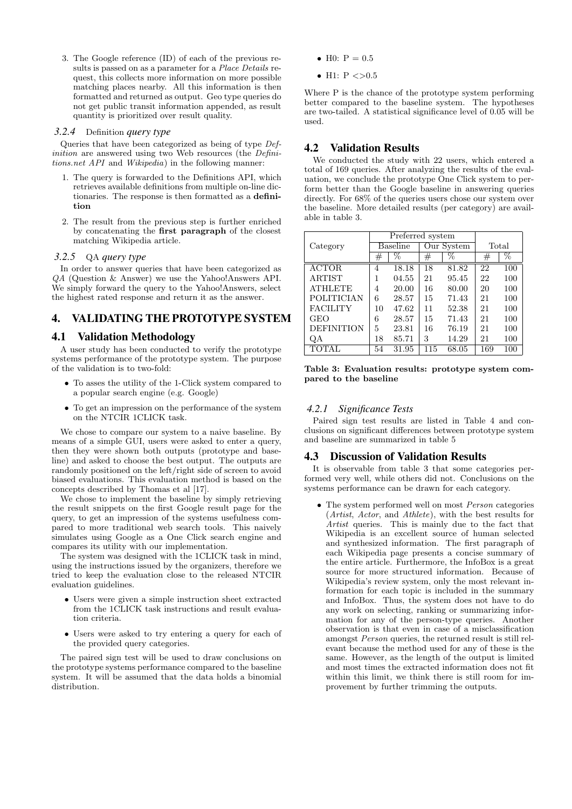3. The Google reference (ID) of each of the previous results is passed on as a parameter for a Place Details request, this collects more information on more possible matching places nearby. All this information is then formatted and returned as output. Geo type queries do not get public transit information appended, as result quantity is prioritized over result quality.

#### *3.2.4* Definition *query type*

Queries that have been categorized as being of type Definition are answered using two Web resources (the Definitions.net API and Wikipedia) in the following manner:

- 1. The query is forwarded to the Definitions API, which retrieves available definitions from multiple on-line dictionaries. The response is then formatted as a definition
- 2. The result from the previous step is further enriched by concatenating the first paragraph of the closest matching Wikipedia article.

### *3.2.5* QA *query type*

In order to answer queries that have been categorized as QA (Question & Answer) we use the Yahoo!Answers API. We simply forward the query to the Yahoo!Answers, select the highest rated response and return it as the answer.

# 4. VALIDATING THE PROTOTYPE SYSTEM

### 4.1 Validation Methodology

A user study has been conducted to verify the prototype systems performance of the prototype system. The purpose of the validation is to two-fold:

- To asses the utility of the 1-Click system compared to a popular search engine (e.g. Google)
- To get an impression on the performance of the system on the NTCIR 1CLICK task.

We chose to compare our system to a naive baseline. By means of a simple GUI, users were asked to enter a query, then they were shown both outputs (prototype and baseline) and asked to choose the best output. The outputs are randomly positioned on the left/right side of screen to avoid biased evaluations. This evaluation method is based on the concepts described by Thomas et al [17].

We chose to implement the baseline by simply retrieving the result snippets on the first Google result page for the query, to get an impression of the systems usefulness compared to more traditional web search tools. This naively simulates using Google as a One Click search engine and compares its utility with our implementation.

The system was designed with the 1CLICK task in mind, using the instructions issued by the organizers, therefore we tried to keep the evaluation close to the released NTCIR evaluation guidelines.

- Users were given a simple instruction sheet extracted from the 1CLICK task instructions and result evaluation criteria.
- Users were asked to try entering a query for each of the provided query categories.

The paired sign test will be used to draw conclusions on the prototype systems performance compared to the baseline system. It will be assumed that the data holds a binomial distribution.

- H0:  $P = 0.5$
- H1:  $P \le 0.5$

Where P is the chance of the prototype system performing better compared to the baseline system. The hypotheses are two-tailed. A statistical significance level of 0.05 will be used.

# 4.2 Validation Results

We conducted the study with 22 users, which entered a total of 169 queries. After analyzing the results of the evaluation, we conclude the prototype One Click system to perform better than the Google baseline in answering queries directly. For 68% of the queries users chose our system over the baseline. More detailed results (per category) are available in table 3.

|                   |          | Preferred system |         |            |         |     |
|-------------------|----------|------------------|---------|------------|---------|-----|
| Category          | Baseline |                  |         | Our System | Total   |     |
|                   | $^{\#}$  | %                | $_{\#}$ | $\%$       | $_{\#}$ | %   |
| ACTOR.            | 4        | 18.18            | 18      | 81.82      | 22      | 100 |
| <b>ARTIST</b>     |          | 04.55            | 21      | 95.45      | 22      | 100 |
| <b>ATHLETE</b>    | 4        | 20.00            | 16      | 80.00      | 20      | 100 |
| POLITICIAN        | 6        | 28.57            | 15      | 71.43      | 21      | 100 |
| <b>FACILITY</b>   | 10       | 47.62            | 11      | 52.38      | 21      | 100 |
| GEO               | 6        | 28.57            | 15      | 71.43      | 21      | 100 |
| <b>DEFINITION</b> | 5        | 23.81            | 16      | 76.19      | 21      | 100 |
| QA                | 18       | 85.71            | 3       | 14.29      | 21      | 100 |
|                   | 54       | 31.95            | 115     | 68.05      | 169     | 100 |

Table 3: Evaluation results: prototype system compared to the baseline

#### *4.2.1 Significance Tests*

Paired sign test results are listed in Table 4 and conclusions on significant differences between prototype system and baseline are summarized in table 5

# 4.3 Discussion of Validation Results

It is observable from table 3 that some categories performed very well, while others did not. Conclusions on the systems performance can be drawn for each category.

• The system performed well on most *Person* categories (Artist, Actor, and Athlete), with the best results for Artist queries. This is mainly due to the fact that Wikipedia is an excellent source of human selected and synthesized information. The first paragraph of each Wikipedia page presents a concise summary of the entire article. Furthermore, the InfoBox is a great source for more structured information. Because of Wikipedia's review system, only the most relevant information for each topic is included in the summary and InfoBox. Thus, the system does not have to do any work on selecting, ranking or summarizing information for any of the person-type queries. Another observation is that even in case of a misclassification amongst Person queries, the returned result is still relevant because the method used for any of these is the same. However, as the length of the output is limited and most times the extracted information does not fit within this limit, we think there is still room for improvement by further trimming the outputs.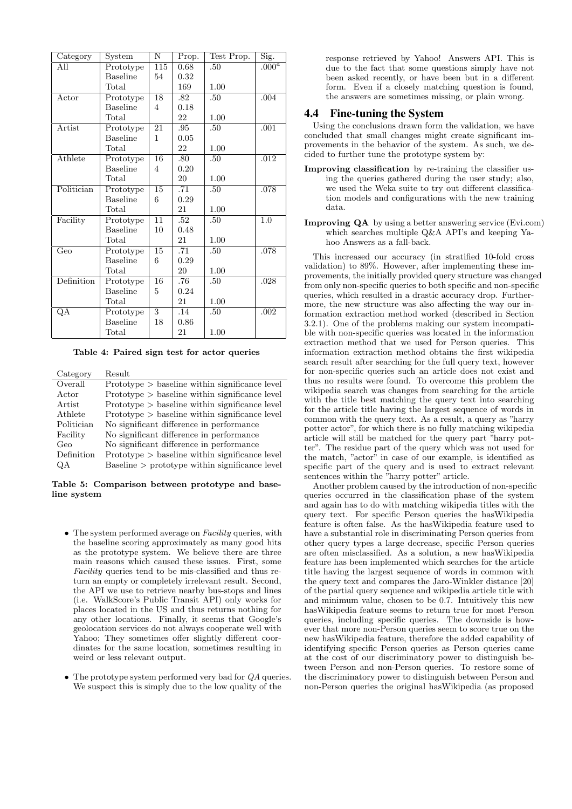| Category                | System                        | $\overline{\rm N}$ | Prop. | Test Prop. | Sig.     |
|-------------------------|-------------------------------|--------------------|-------|------------|----------|
| All                     | Prototype                     | 115                | 0.68  | .50        | $.000^a$ |
|                         | <b>Baseline</b>               | 54                 | 0.32  |            |          |
|                         | Total                         |                    | 169   | 1.00       |          |
| Actor                   | Prototype                     | 18                 | .82   | .50        | .004     |
|                         | <b>Baseline</b>               | 4                  | 0.18  |            |          |
|                         | Total                         |                    | 22    | 1.00       |          |
| Artist                  | Prototype                     | 21                 | .95   | .50        | .001     |
|                         | <b>Baseline</b>               | 1                  | 0.05  |            |          |
|                         | Total                         |                    | 22    | 1.00       |          |
| Athlete                 | Prototype                     | 16                 | .80   | .50        | .012     |
|                         | <b>Baseline</b>               | 4                  | 0.20  |            |          |
|                         | Total                         |                    | 20    | 1.00       |          |
| Politician              | $\overline{\text{Prototype}}$ | 15                 | .71   | .50        | .078     |
|                         | <b>Baseline</b>               | 6                  | 0.29  |            |          |
|                         | Total                         |                    | 21    | 1.00       |          |
| Facility                | $\overline{\text{Prototype}}$ | $\overline{11}$    | .52   | .50        | 1.0      |
|                         | <b>Baseline</b>               | 10                 | 0.48  |            |          |
|                         | Total                         |                    | 21    | 1.00       |          |
| $\overline{\text{Geo}}$ | $\overline{\text{Prototype}}$ | $\overline{15}$    | .71   | .50        | .078     |
|                         | <b>Baseline</b>               | 6                  | 0.29  |            |          |
|                         | Total                         |                    | 20    | 1.00       |          |
| Definition              | $\overline{\text{Prototype}}$ | $\overline{16}$    | .76   | .50        | .028     |
|                         | Baseline                      | 5                  | 0.24  |            |          |
|                         | Total                         |                    | 21    | 1.00       |          |
| QA                      | Prototype                     | $\overline{3}$     | .14   | .50        | .002     |
|                         | <b>Baseline</b>               | 18                 | 0.86  |            |          |
|                         | Total                         |                    | 21    | 1.00       |          |

Table 4: Paired sign test for actor queries

| Category   | Result                                           |
|------------|--------------------------------------------------|
| Overall    | $Prototype > baseline$ within significance level |
| Actor      | $Prototype > baseline$ within significance level |
| Artist     | $Prototype > baseline$ within significance level |
| Athlete    | $Prototype > baseline$ within significance level |
| Politician | No significant difference in performance         |
| Facility   | No significant difference in performance         |
| Geo        | No significant difference in performance         |
| Definition | $Prototype > baseline$ within significance level |
| OΑ         | $Baseline$ > prototype within significance level |

Table 5: Comparison between prototype and baseline system

- The system performed average on  $Facility$  queries, with the baseline scoring approximately as many good hits as the prototype system. We believe there are three main reasons which caused these issues. First, some Facility queries tend to be mis-classified and thus return an empty or completely irrelevant result. Second, the API we use to retrieve nearby bus-stops and lines (i.e. WalkScore's Public Transit API) only works for places located in the US and thus returns nothing for any other locations. Finally, it seems that Google's geolocation services do not always cooperate well with Yahoo; They sometimes offer slightly different coordinates for the same location, sometimes resulting in weird or less relevant output.
- The prototype system performed very bad for QA queries. We suspect this is simply due to the low quality of the

response retrieved by Yahoo! Answers API. This is due to the fact that some questions simply have not been asked recently, or have been but in a different form. Even if a closely matching question is found, the answers are sometimes missing, or plain wrong.

# 4.4 Fine-tuning the System

Using the conclusions drawn form the validation, we have concluded that small changes might create significant improvements in the behavior of the system. As such, we decided to further tune the prototype system by:

- Improving classification by re-training the classifier using the queries gathered during the user study; also, we used the Weka suite to try out different classification models and configurations with the new training data.
- Improving QA by using a better answering service (Evi.com) which searches multiple Q&A API's and keeping Yahoo Answers as a fall-back.

This increased our accuracy (in stratified 10-fold cross validation) to 89%. However, after implementing these improvements, the initially provided query structure was changed from only non-specific queries to both specific and non-specific queries, which resulted in a drastic accuracy drop. Furthermore, the new structure was also affecting the way our information extraction method worked (described in Section 3.2.1). One of the problems making our system incompatible with non-specific queries was located in the information extraction method that we used for Person queries. This information extraction method obtains the first wikipedia search result after searching for the full query text, however for non-specific queries such an article does not exist and thus no results were found. To overcome this problem the wikipedia search was changes from searching for the article with the title best matching the query text into searching for the article title having the largest sequence of words in common with the query text. As a result, a query as "harry potter actor", for which there is no fully matching wikipedia article will still be matched for the query part "harry potter". The residue part of the query which was not used for the match, "actor" in case of our example, is identified as specific part of the query and is used to extract relevant sentences within the "harry potter" article.

Another problem caused by the introduction of non-specific queries occurred in the classification phase of the system and again has to do with matching wikipedia titles with the query text. For specific Person queries the hasWikipedia feature is often false. As the hasWikipedia feature used to have a substantial role in discriminating Person queries from other query types a large decrease, specific Person queries are often misclassified. As a solution, a new hasWikipedia feature has been implemented which searches for the article title having the largest sequence of words in common with the query text and compares the Jaro-Winkler distance [20] of the partial query sequence and wikipedia article title with and minimum value, chosen to be 0.7. Intuitively this new hasWikipedia feature seems to return true for most Person queries, including specific queries. The downside is however that more non-Person queries seem to score true on the new hasWikipedia feature, therefore the added capability of identifying specific Person queries as Person queries came at the cost of our discriminatory power to distinguish between Person and non-Person queries. To restore some of the discriminatory power to distinguish between Person and non-Person queries the original hasWikipedia (as proposed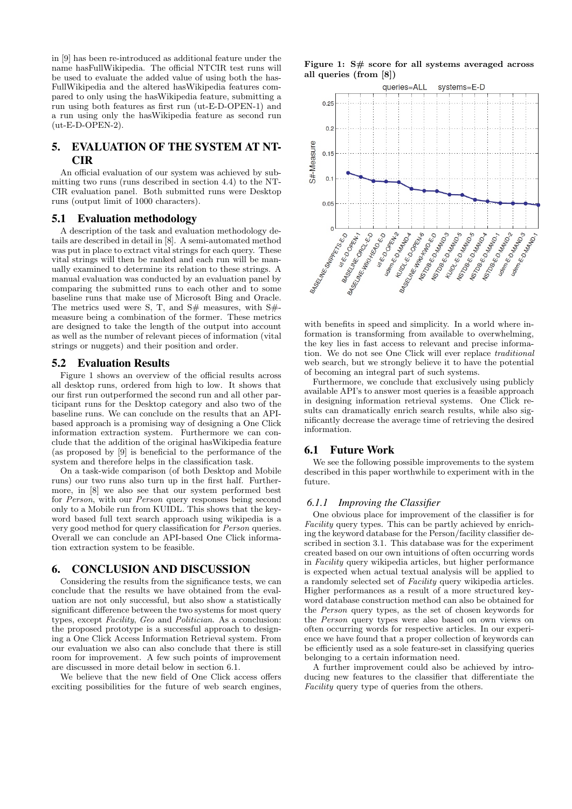in [9] has been re-introduced as additional feature under the name hasFullWikipedia. The official NTCIR test runs will be used to evaluate the added value of using both the has-FullWikipedia and the altered hasWikipedia features compared to only using the hasWikipedia feature, submitting a run using both features as first run (ut-E-D-OPEN-1) and a run using only the hasWikipedia feature as second run (ut-E-D-OPEN-2).

# 5. EVALUATION OF THE SYSTEM AT NT-CIR

An official evaluation of our system was achieved by submitting two runs (runs described in section 4.4) to the NT-CIR evaluation panel. Both submitted runs were Desktop runs (output limit of 1000 characters).

#### 5.1 Evaluation methodology

A description of the task and evaluation methodology details are described in detail in [8]. A semi-automated method was put in place to extract vital strings for each query. These vital strings will then be ranked and each run will be manually examined to determine its relation to these strings. A manual evaluation was conducted by an evaluation panel by comparing the submitted runs to each other and to some baseline runs that make use of Microsoft Bing and Oracle. The metrics used were S, T, and  $S#$  measures, with  $S#$ measure being a combination of the former. These metrics are designed to take the length of the output into account as well as the number of relevant pieces of information (vital strings or nuggets) and their position and order.

### 5.2 Evaluation Results

Figure 1 shows an overview of the official results across all desktop runs, ordered from high to low. It shows that our first run outperformed the second run and all other participant runs for the Desktop category and also two of the baseline runs. We can conclude on the results that an APIbased approach is a promising way of designing a One Click information extraction system. Furthermore we can conclude that the addition of the original hasWikipedia feature (as proposed by [9] is beneficial to the performance of the system and therefore helps in the classification task.

On a task-wide comparison (of both Desktop and Mobile runs) our two runs also turn up in the first half. Furthermore, in [8] we also see that our system performed best for Person, with our Person query responses being second only to a Mobile run from KUIDL. This shows that the keyword based full text search approach using wikipedia is a very good method for query classification for Person queries. Overall we can conclude an API-based One Click information extraction system to be feasible.

# 6. CONCLUSION AND DISCUSSION

Considering the results from the significance tests, we can conclude that the results we have obtained from the evaluation are not only successful, but also show a statistically significant difference between the two systems for most query types, except Facility, Geo and Politician. As a conclusion: the proposed prototype is a successful approach to designing a One Click Access Information Retrieval system. From our evaluation we also can also conclude that there is still room for improvement. A few such points of improvement are discussed in more detail below in section 6.1.

We believe that the new field of One Click access offers exciting possibilities for the future of web search engines,





with benefits in speed and simplicity. In a world where information is transforming from available to overwhelming, the key lies in fast access to relevant and precise information. We do not see One Click will ever replace traditional web search, but we strongly believe it to have the potential of becoming an integral part of such systems.

Furthermore, we conclude that exclusively using publicly available API's to answer most queries is a feasible approach in designing information retrieval systems. One Click results can dramatically enrich search results, while also significantly decrease the average time of retrieving the desired information.

# 6.1 Future Work

We see the following possible improvements to the system described in this paper worthwhile to experiment with in the future.

#### *6.1.1 Improving the Classifier*

One obvious place for improvement of the classifier is for Facility query types. This can be partly achieved by enriching the keyword database for the Person/facility classifier described in section 3.1. This database was for the experiment created based on our own intuitions of often occurring words in Facility query wikipedia articles, but higher performance is expected when actual textual analysis will be applied to a randomly selected set of Facility query wikipedia articles. Higher performances as a result of a more structured keyword database construction method can also be obtained for the Person query types, as the set of chosen keywords for the Person query types were also based on own views on often occurring words for respective articles. In our experience we have found that a proper collection of keywords can be efficiently used as a sole feature-set in classifying queries belonging to a certain information need.

A further improvement could also be achieved by introducing new features to the classifier that differentiate the Facility query type of queries from the others.